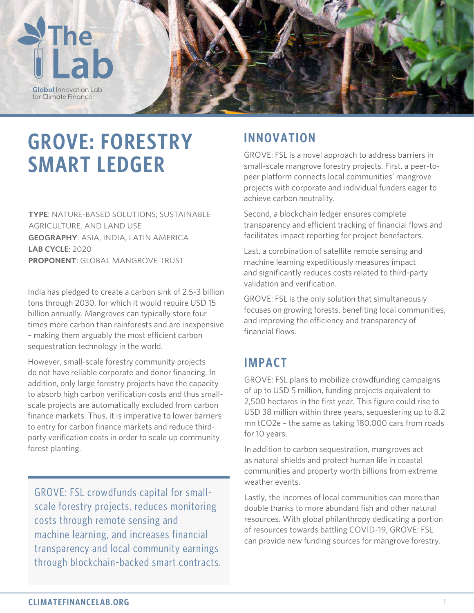

# **GROVE: FORESTRY SMART LEDGER**

**TYPE**: NATURE-BASED SOLUTIONS, SUSTAINABLE AGRICULTURE, AND LAND USE **GEOGRAPHY**: ASIA, INDIA, LATIN AMERICA **LAB CYCLE**: 2020 **PROPONENT**: GLOBAL MANGROVE TRUST

India has pledged to create a carbon sink of 2.5-3 billion tons through 2030, for which it would require USD 15 billion annually. Mangroves can typically store four times more carbon than rainforests and are inexpensive – making them arguably the most efficient carbon sequestration technology in the world.

However, small-scale forestry community projects do not have reliable corporate and donor financing. In addition, only large forestry projects have the capacity to absorb high carbon verification costs and thus smallscale projects are automatically excluded from carbon finance markets. Thus, it is imperative to lower barriers to entry for carbon finance markets and reduce thirdparty verification costs in order to scale up community forest planting.

GROVE: FSL crowdfunds capital for smallscale forestry projects, reduces monitoring costs through remote sensing and machine learning, and increases financial transparency and local community earnings through blockchain-backed smart contracts.

### **INNOVATION**

GROVE: FSL is a novel approach to address barriers in small-scale mangrove forestry projects. First, a peer-topeer platform connects local communities' mangrove projects with corporate and individual funders eager to achieve carbon neutrality.

Second, a blockchain ledger ensures complete transparency and efficient tracking of financial flows and facilitates impact reporting for project benefactors.

Last, a combination of satellite remote sensing and machine learning expeditiously measures impact and significantly reduces costs related to third-party validation and verification.

GROVE: FSL is the only solution that simultaneously focuses on growing forests, benefiting local communities, and improving the efficiency and transparency of financial flows.

### **IMPACT**

GROVE: FSL plans to mobilize crowdfunding campaigns of up to USD 5 million, funding projects equivalent to 2,500 hectares in the first year. This figure could rise to USD 38 million within three years, sequestering up to 8.2 mn tCO2e – the same as taking 180,000 cars from roads for 10 years.

In addition to carbon sequestration, mangroves act as natural shields and protect human life in coastal communities and property worth billions from extreme weather events.

Lastly, the incomes of local communities can more than double thanks to more abundant fish and other natural resources. With global philanthropy dedicating a portion of resources towards battling COVID-19, GROVE: FSL can provide new funding sources for mangrove forestry.